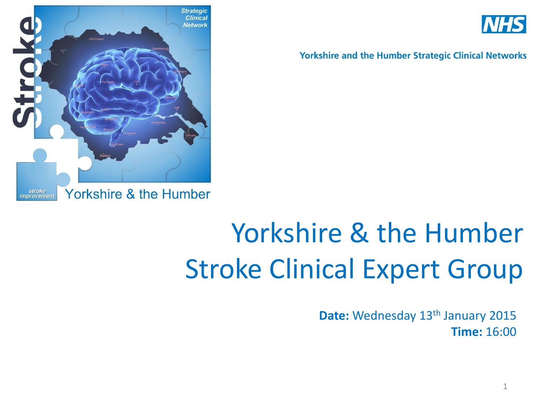



### Yorkshire & the Humber Stroke Clinical Expert Group

**Date:** Wednesday 13<sup>th</sup> January 2015 **Time:** 16:00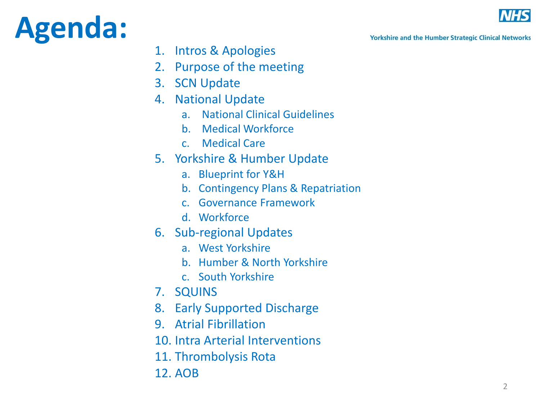### **Agenda:**



**Yorkshire and the Humber Strategic Clinical Networks** 

- 1. Intros & Apologies
- 2. Purpose of the meeting
- 3. SCN Update
- 4. National Update
	- a. National Clinical Guidelines
	- b. Medical Workforce
	- c. Medical Care
- 5. Yorkshire & Humber Update
	- a. Blueprint for Y&H
	- b. Contingency Plans & Repatriation
	- c. Governance Framework
	- d. Workforce
- 6. Sub -regional Updates
	- a. West Yorkshire
	- b. Humber & North Yorkshire
	- c. South Yorkshire
- 7. SQUINS
- 8. Early Supported Discharge
- 9. Atrial Fibrillation
- 10. Intra Arterial Interventions
- 11. Thrombolysis Rota
- 12. AOB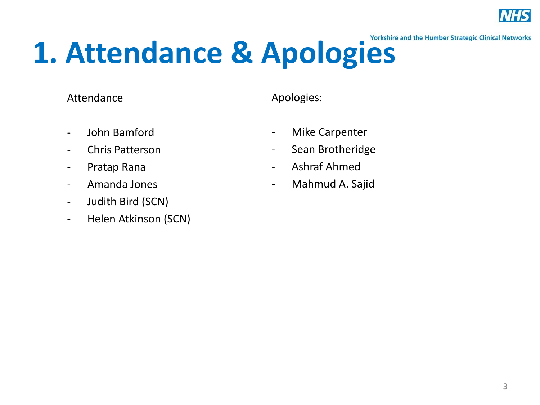

# 1. Attendance & Apologies

#### Attendance

Apologies:

- John Bamford
- Chris Patterson
- Pratap Rana
- Amanda Jones
- Judith Bird (SCN)
- Helen Atkinson (SCN)
- Mike Carpenter
- Sean Brotheridge
- Ashraf Ahmed
- Mahmud A. Sajid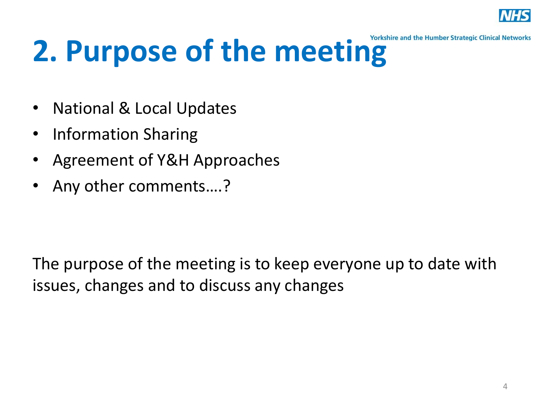

# **2. Purpose of the meeting**

- National & Local Updates
- Information Sharing
- Agreement of Y&H Approaches
- Any other comments....?

The purpose of the meeting is to keep everyone up to date with issues, changes and to discuss any changes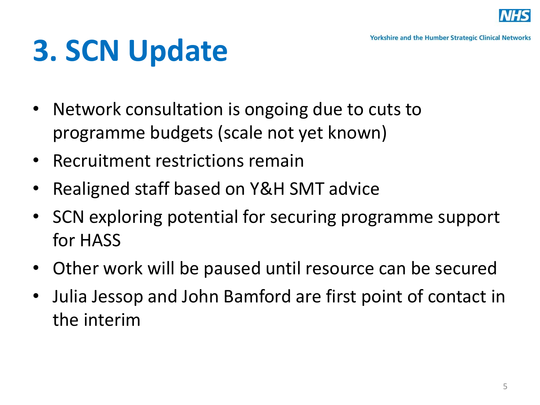

## **3. SCN Update**

- Network consultation is ongoing due to cuts to programme budgets (scale not yet known)
- Recruitment restrictions remain
- Realigned staff based on Y&H SMT advice
- SCN exploring potential for securing programme support for HASS
- Other work will be paused until resource can be secured
- Julia Jessop and John Bamford are first point of contact in the interim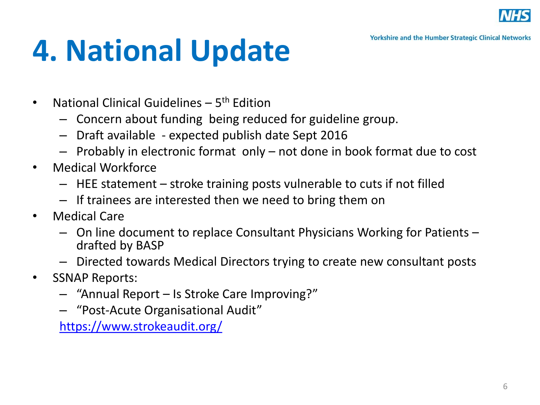

### **4. National Update**

- National Clinical Guidelines 5<sup>th</sup> Edition
	- Concern about funding being reduced for guideline group.
	- Draft available expected publish date Sept 2016
	- Probably in electronic format only not done in book format due to cost
- Medical Workforce
	- HEE statement stroke training posts vulnerable to cuts if not filled
	- If trainees are interested then we need to bring them on
- Medical Care
	- On line document to replace Consultant Physicians Working for Patients drafted by BASP
	- Directed towards Medical Directors trying to create new consultant posts
- SSNAP Reports:
	- "Annual Report Is Stroke Care Improving?"
	- "Post-Acute Organisational Audit"

<https://www.strokeaudit.org/>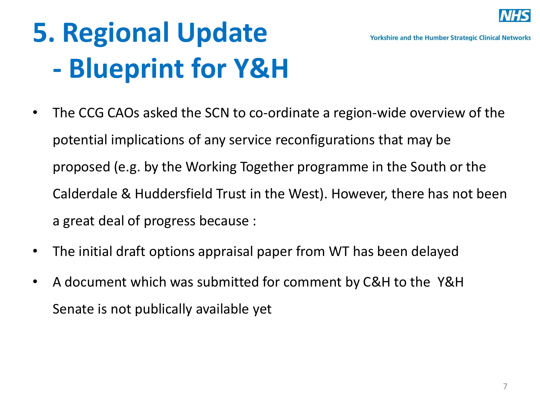

### **5. Regional Update - Blueprint for Y&H**

- The CCG CAOs asked the SCN to co-ordinate a region-wide overview of the potential implications of any service reconfigurations that may be proposed (e.g. by the Working Together programme in the South or the Calderdale & Huddersfield Trust in the West). However, there has not been a great deal of progress because :
- The initial draft options appraisal paper from WT has been delayed
- A document which was submitted for comment by C&H to the Y&H Senate is not publically available yet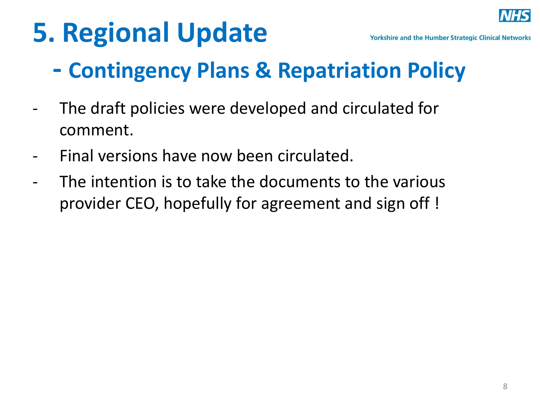### **5. Regional Update**



### **- Contingency Plans & Repatriation Policy**

- The draft policies were developed and circulated for comment.
- Final versions have now been circulated.
- The intention is to take the documents to the various provider CEO, hopefully for agreement and sign off !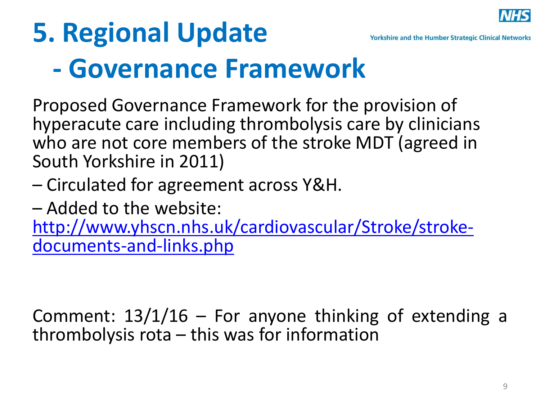

# **5. Regional Update**

# **- Governance Framework**

Proposed Governance Framework for the provision of hyperacute care including thrombolysis care by clinicians who are not core members of the stroke MDT (agreed in South Yorkshire in 2011)

- Circulated for agreement across Y&H.
- Added to the website:

[http://www.yhscn.nhs.uk/cardiovascular/Stroke/stroke](http://www.yhscn.nhs.uk/cardiovascular/Stroke/stroke-documents-and-links.php)[documents-and-links.php](http://www.yhscn.nhs.uk/cardiovascular/Stroke/stroke-documents-and-links.php)

Comment:  $13/1/16$  – For anyone thinking of extending a thrombolysis rota – this was for information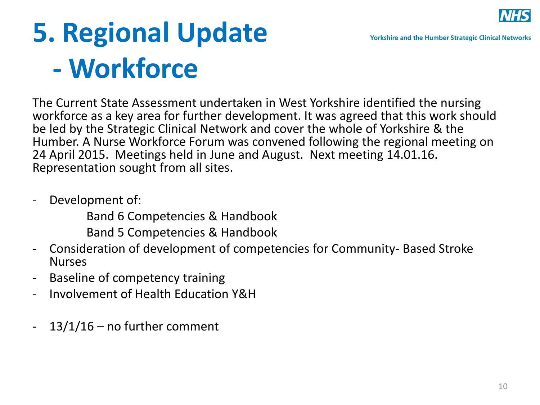

### **5. Regional Update - Workforce**

The Current State Assessment undertaken in West Yorkshire identified the nursing workforce as a key area for further development. It was agreed that this work should be led by the Strategic Clinical Network and cover the whole of Yorkshire & the Humber. A Nurse Workforce Forum was convened following the regional meeting on 24 April 2015. Meetings held in June and August. Next meeting 14.01.16. Representation sought from all sites.

- Development of:

Band 6 Competencies & Handbook

Band 5 Competencies & Handbook

- Consideration of development of competencies for Community- Based Stroke Nurses
- Baseline of competency training
- Involvement of Health Education Y&H
- 13/1/16 no further comment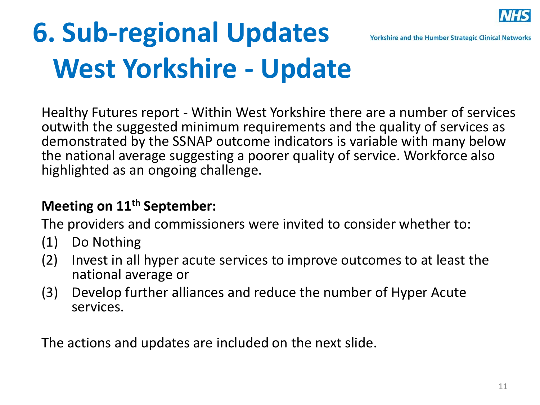

### **6. Sub-regional Updates West Yorkshire - Update**

Healthy Futures report - Within West Yorkshire there are a number of services outwith the suggested minimum requirements and the quality of services as demonstrated by the SSNAP outcome indicators is variable with many below the national average suggesting a poorer quality of service. Workforce also highlighted as an ongoing challenge.

### **Meeting on 11th September:**

The providers and commissioners were invited to consider whether to:

- (1) Do Nothing
- (2) Invest in all hyper acute services to improve outcomes to at least the national average or
- (3) Develop further alliances and reduce the number of Hyper Acute services.

The actions and updates are included on the next slide.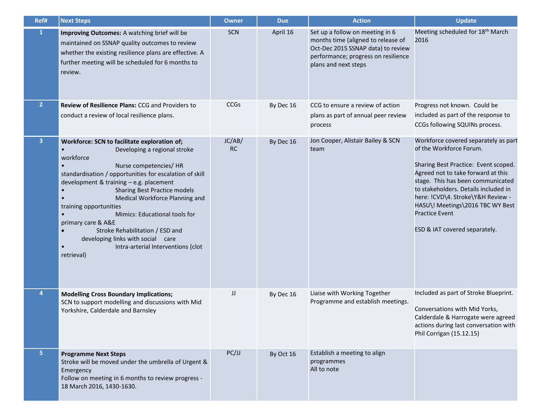| Ref#                    | <b>Next Steps</b>                                                                                                                                                                                                                                                                                                                                                                                                                                                                                                                                                                                  | <b>Owner</b>        | <b>Due</b> | <b>Action</b>                                                                                                                                                              | <b>Update</b>                                                                                                                                                                                                                                                                                                                                                 |
|-------------------------|----------------------------------------------------------------------------------------------------------------------------------------------------------------------------------------------------------------------------------------------------------------------------------------------------------------------------------------------------------------------------------------------------------------------------------------------------------------------------------------------------------------------------------------------------------------------------------------------------|---------------------|------------|----------------------------------------------------------------------------------------------------------------------------------------------------------------------------|---------------------------------------------------------------------------------------------------------------------------------------------------------------------------------------------------------------------------------------------------------------------------------------------------------------------------------------------------------------|
| $\mathbf{1}$            | <b>Improving Outcomes:</b> A watching brief will be<br>maintained on SSNAP quality outcomes to review<br>whether the existing resilience plans are effective. A<br>further meeting will be scheduled for 6 months to<br>review.                                                                                                                                                                                                                                                                                                                                                                    | <b>SCN</b>          | April 16   | Set up a follow on meeting in 6<br>months time (aligned to release of<br>Oct-Dec 2015 SSNAP data) to review<br>performance; progress on resilience<br>plans and next steps | Meeting scheduled for 18 <sup>th</sup> March<br>2016                                                                                                                                                                                                                                                                                                          |
| 2 <sup>1</sup>          | <b>Review of Resilience Plans: CCG and Providers to</b><br>conduct a review of local resilience plans.                                                                                                                                                                                                                                                                                                                                                                                                                                                                                             | <b>CCGs</b>         | By Dec 16  | CCG to ensure a review of action<br>plans as part of annual peer review<br>process                                                                                         | Progress not known. Could be<br>included as part of the response to<br>CCGs following SQUINs process.                                                                                                                                                                                                                                                         |
| $\overline{\mathbf{3}}$ | Workforce: SCN to facilitate exploration of;<br>Developing a regional stroke<br>$\bullet$<br>workforce<br>$\bullet$<br>Nurse competencies/HR<br>standardisation / opportunities for escalation of skill<br>development & training - e.g. placement<br>Sharing Best Practice models<br>$\bullet$<br>Medical Workforce Planning and<br>$\bullet$<br>training opportunities<br>Mimics: Educational tools for<br>$\bullet$<br>primary care & A&E<br>Stroke Rehabilitation / ESD and<br>$\bullet$<br>developing links with social care<br>Intra-arterial Interventions (clot<br>$\bullet$<br>retrieval) | JC/AB/<br><b>RC</b> | By Dec 16  | Jon Cooper, Alistair Bailey & SCN<br>team                                                                                                                                  | Workforce covered separately as part<br>of the Workforce Forum.<br>Sharing Best Practice: Event scoped.<br>Agreed not to take forward at this<br>stage. This has been communicated<br>to stakeholders. Details included in<br>here: !CVD\4. Stroke\Y&H Review -<br>HASU\! Meetings\2016 TBC WY Best<br><b>Practice Event</b><br>ESD & IAT covered separately. |
| $\boldsymbol{4}$        | <b>Modelling Cross Boundary Implications;</b><br>SCN to support modelling and discussions with Mid<br>Yorkshire, Calderdale and Barnsley                                                                                                                                                                                                                                                                                                                                                                                                                                                           | JJ                  | By Dec 16  | Liaise with Working Together<br>Programme and establish meetings.                                                                                                          | Included as part of Stroke Blueprint.<br>Conversations with Mid Yorks,<br>Calderdale & Harrogate were agreed<br>actions during last conversation with<br>Phil Corrigan (15.12.15)                                                                                                                                                                             |
| 5                       | <b>Programme Next Steps</b><br>Stroke will be moved under the umbrella of Urgent &<br>Emergency<br>Follow on meeting in 6 months to review progress -<br>18 March 2016, 1430-1630.                                                                                                                                                                                                                                                                                                                                                                                                                 | PC/JJ               | By Oct 16  | Establish a meeting to align<br>programmes<br>All to note                                                                                                                  |                                                                                                                                                                                                                                                                                                                                                               |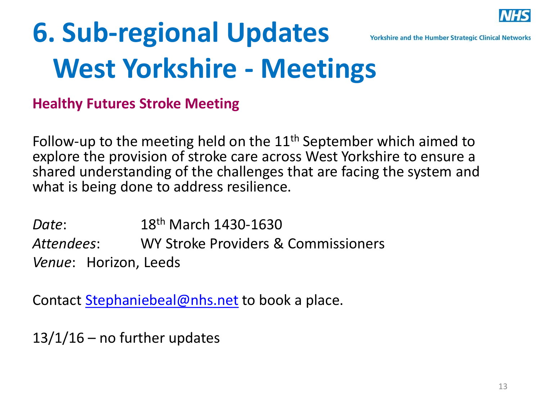

### **6. Sub-regional Updates Yorkshire and the Humber Strategic Clinical Networks West Yorkshire - Meetings**

**Healthy Futures Stroke Meeting** 

Follow-up to the meeting held on the  $11<sup>th</sup>$  September which aimed to explore the provision of stroke care across West Yorkshire to ensure a shared understanding of the challenges that are facing the system and what is being done to address resilience.

*Date*: 18th March 1430-1630 *Attendees*: WY Stroke Providers & Commissioners *Venue*: Horizon, Leeds

Contact [Stephaniebeal@nhs.net](mailto:Stephaniebeal@nhs.net) to book a place.

 $13/1/16$  – no further updates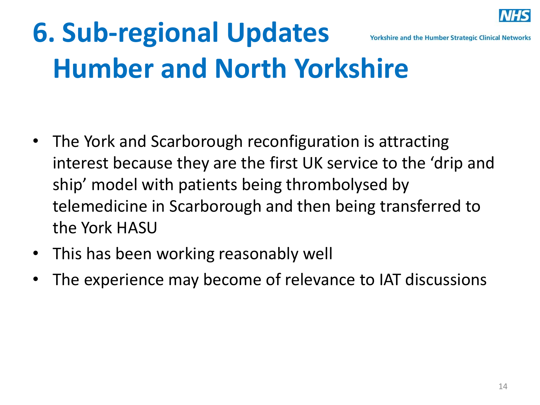

### **6. Sub-regional Updates Yorkshire and the Humber Strategic Clinical Networks Humber and North Yorkshire**

- The York and Scarborough reconfiguration is attracting interest because they are the first UK service to the 'drip and ship' model with patients being thrombolysed by telemedicine in Scarborough and then being transferred to the York HASU
- This has been working reasonably well
- The experience may become of relevance to IAT discussions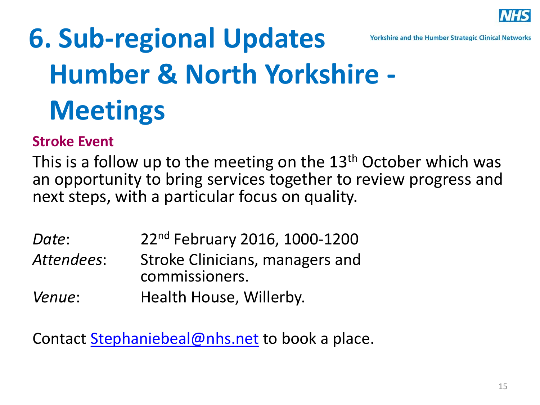

## **6. Sub-regional Updates Humber & North Yorkshire - Meetings**

#### **Stroke Event**

This is a follow up to the meeting on the 13<sup>th</sup> October which was an opportunity to bring services together to review progress and next steps, with a particular focus on quality.

- *Date*: 22nd February 2016, 1000-1200 *Attendees*: Stroke Clinicians, managers and commissioners.
- *Venue*: **Health House, Willerby.**

Contact [Stephaniebeal@nhs.net](mailto:Stephaniebeal@nhs.net) to book a place.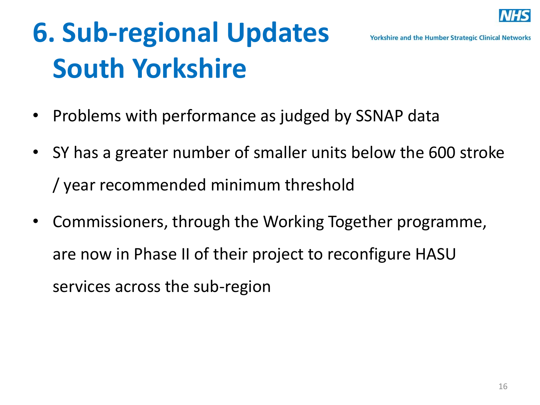

### **6. Sub-regional Updates South Yorkshire**

- Problems with performance as judged by SSNAP data
- SY has a greater number of smaller units below the 600 stroke / year recommended minimum threshold
- Commissioners, through the Working Together programme, are now in Phase II of their project to reconfigure HASU services across the sub-region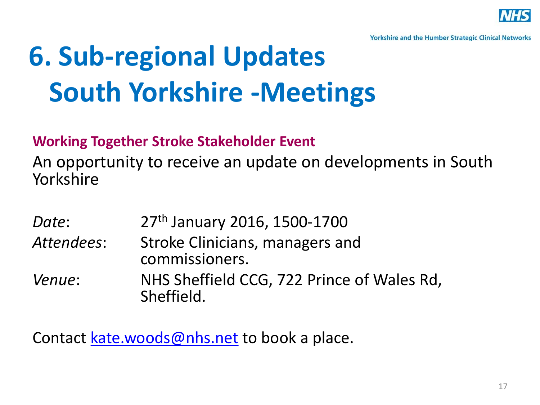

### **6. Sub-regional Updates South Yorkshire -Meetings**

### **Working Together Stroke Stakeholder Event**

An opportunity to receive an update on developments in South Yorkshire

*Date*: 27th January 2016, 1500-1700 *Attendees*: Stroke Clinicians, managers and commissioners. *Venue*: NHS Sheffield CCG, 722 Prince of Wales Rd, Sheffield.

Contact [kate.woods@nhs.net](mailto:kate.woods@nhs.net) to book a place.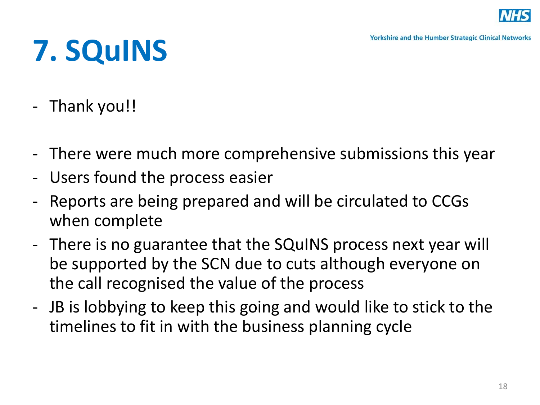

# **7. SQuINS**

- Thank you!!
- There were much more comprehensive submissions this year
- Users found the process easier
- Reports are being prepared and will be circulated to CCGs when complete
- There is no guarantee that the SQuINS process next year will be supported by the SCN due to cuts although everyone on the call recognised the value of the process
- JB is lobbying to keep this going and would like to stick to the timelines to fit in with the business planning cycle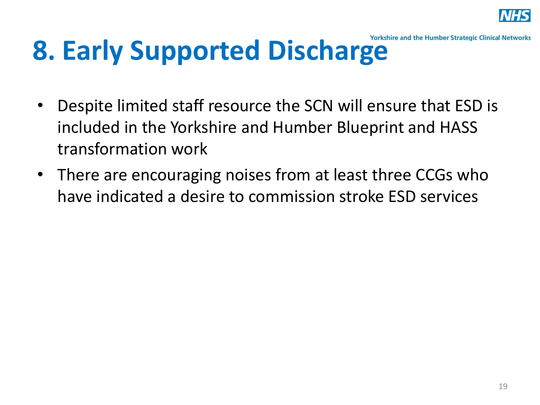

### **8. Early Supported Discharge** Workshire and the Humber Strategic Clinical Networks

- Despite limited staff resource the SCN will ensure that ESD is included in the Yorkshire and Humber Blueprint and HASS transformation work
- There are encouraging noises from at least three CCGs who have indicated a desire to commission stroke ESD services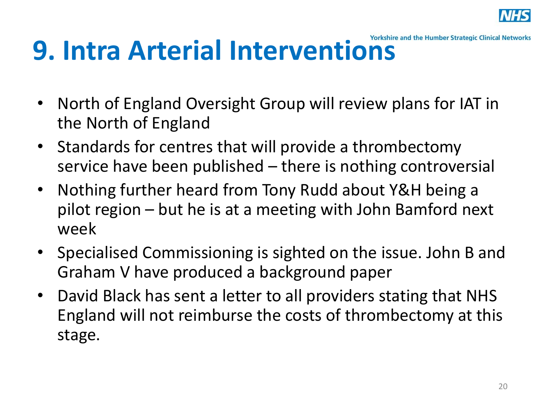

## **9. Intra Arterial Interventions**

- North of England Oversight Group will review plans for IAT in the North of England
- Standards for centres that will provide a thrombectomy service have been published – there is nothing controversial
- Nothing further heard from Tony Rudd about Y&H being a pilot region – but he is at a meeting with John Bamford next week
- Specialised Commissioning is sighted on the issue. John B and Graham V have produced a background paper
- David Black has sent a letter to all providers stating that NHS England will not reimburse the costs of thrombectomy at this stage.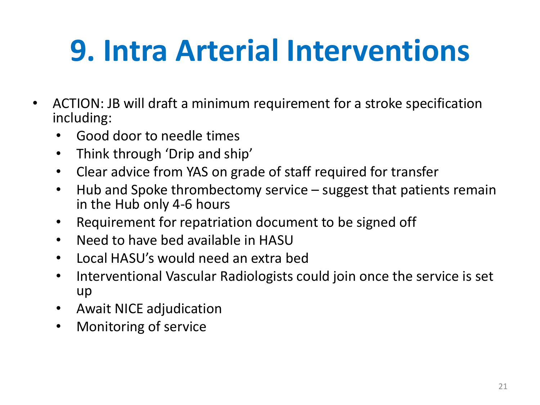## **9. Intra Arterial Interventions**

- ACTION: JB will draft a minimum requirement for a stroke specification including:
	- Good door to needle times
	- Think through 'Drip and ship'
	- Clear advice from YAS on grade of staff required for transfer
	- Hub and Spoke thrombectomy service suggest that patients remain in the Hub only 4-6 hours
	- Requirement for repatriation document to be signed off
	- Need to have bed available in HASU
	- Local HASU's would need an extra bed
	- Interventional Vascular Radiologists could join once the service is set up
	- Await NICE adjudication
	- Monitoring of service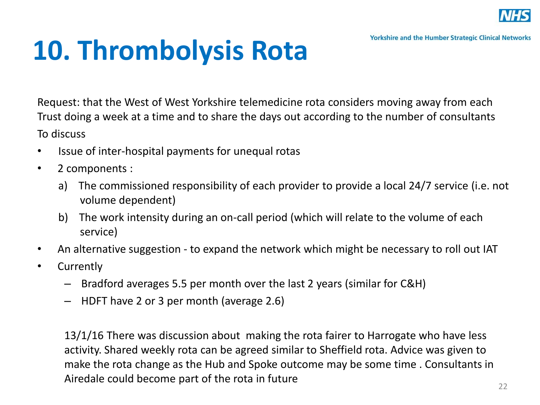

### **10. Thrombolysis Rota**

Request: that the West of West Yorkshire telemedicine rota considers moving away from each Trust doing a week at a time and to share the days out according to the number of consultants To discuss

- Issue of inter-hospital payments for unequal rotas
- 2 components :
	- a) The commissioned responsibility of each provider to provide a local 24/7 service (i.e. not volume dependent)
	- b) The work intensity during an on-call period (which will relate to the volume of each service)
- An alternative suggestion to expand the network which might be necessary to roll out IAT
- Currently
	- Bradford averages 5.5 per month over the last 2 years (similar for C&H)
	- HDFT have 2 or 3 per month (average 2.6)

13/1/16 There was discussion about making the rota fairer to Harrogate who have less activity. Shared weekly rota can be agreed similar to Sheffield rota. Advice was given to make the rota change as the Hub and Spoke outcome may be some time . Consultants in Airedale could become part of the rota in future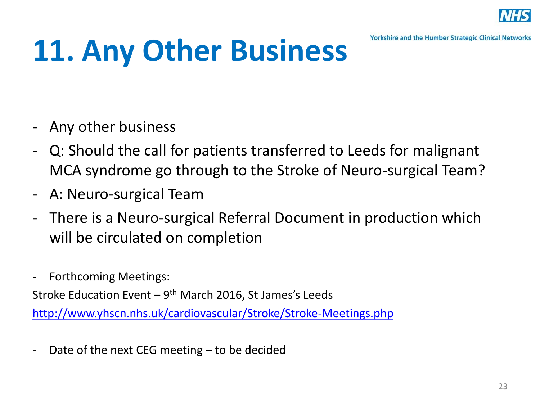

## **11. Any Other Business**

- Any other business
- Q: Should the call for patients transferred to Leeds for malignant MCA syndrome go through to the Stroke of Neuro-surgical Team?
- A: Neuro-surgical Team
- There is a Neuro-surgical Referral Document in production which will be circulated on completion
- Forthcoming Meetings:

Stroke Education Event – 9<sup>th</sup> March 2016, St James's Leeds

<http://www.yhscn.nhs.uk/cardiovascular/Stroke/Stroke-Meetings.php>

- Date of the next CEG meeting – to be decided